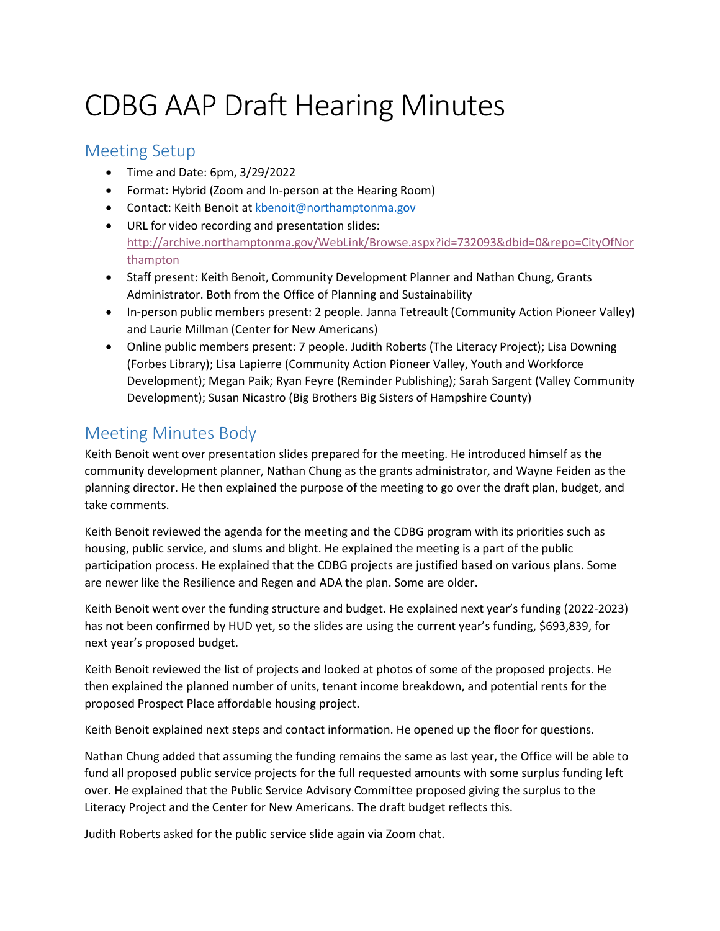## CDBG AAP Draft Hearing Minutes

## Meeting Setup

- Time and Date: 6pm, 3/29/2022
- Format: Hybrid (Zoom and In-person at the Hearing Room)
- Contact: Keith Benoit at [kbenoit@northamptonma.gov](mailto:kbenoit@northamptonma.gov)
- URL for video recording and presentation slides: [http://archive.northamptonma.gov/WebLink/Browse.aspx?id=732093&dbid=0&repo=CityOfNor](http://archive.northamptonma.gov/WebLink/Browse.aspx?id=732093&dbid=0&repo=CityOfNorthampton) [thampton](http://archive.northamptonma.gov/WebLink/Browse.aspx?id=732093&dbid=0&repo=CityOfNorthampton)
- Staff present: Keith Benoit, Community Development Planner and Nathan Chung, Grants Administrator. Both from the Office of Planning and Sustainability
- In-person public members present: 2 people. Janna Tetreault (Community Action Pioneer Valley) and Laurie Millman (Center for New Americans)
- Online public members present: 7 people. Judith Roberts (The Literacy Project); Lisa Downing (Forbes Library); Lisa Lapierre (Community Action Pioneer Valley, Youth and Workforce Development); Megan Paik; Ryan Feyre (Reminder Publishing); Sarah Sargent (Valley Community Development); Susan Nicastro (Big Brothers Big Sisters of Hampshire County)

## Meeting Minutes Body

Keith Benoit went over presentation slides prepared for the meeting. He introduced himself as the community development planner, Nathan Chung as the grants administrator, and Wayne Feiden as the planning director. He then explained the purpose of the meeting to go over the draft plan, budget, and take comments.

Keith Benoit reviewed the agenda for the meeting and the CDBG program with its priorities such as housing, public service, and slums and blight. He explained the meeting is a part of the public participation process. He explained that the CDBG projects are justified based on various plans. Some are newer like the Resilience and Regen and ADA the plan. Some are older.

Keith Benoit went over the funding structure and budget. He explained next year's funding (2022-2023) has not been confirmed by HUD yet, so the slides are using the current year's funding, \$693,839, for next year's proposed budget.

Keith Benoit reviewed the list of projects and looked at photos of some of the proposed projects. He then explained the planned number of units, tenant income breakdown, and potential rents for the proposed Prospect Place affordable housing project.

Keith Benoit explained next steps and contact information. He opened up the floor for questions.

Nathan Chung added that assuming the funding remains the same as last year, the Office will be able to fund all proposed public service projects for the full requested amounts with some surplus funding left over. He explained that the Public Service Advisory Committee proposed giving the surplus to the Literacy Project and the Center for New Americans. The draft budget reflects this.

Judith Roberts asked for the public service slide again via Zoom chat.